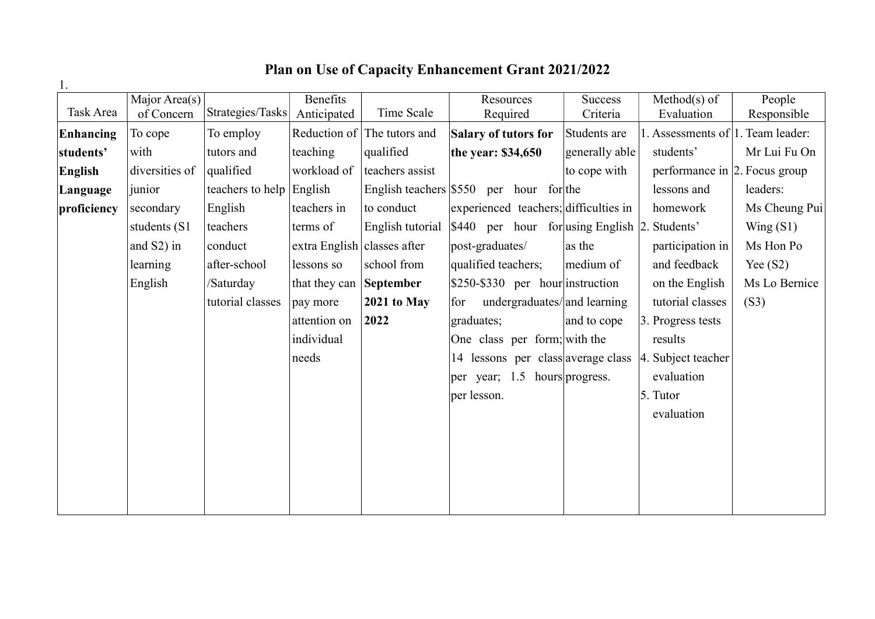## Plan on Use of Capacity Enhancement Grant 2021/2022

|             | $\overline{\text{Major Area}}(s)$ |                          | Benefits                            |                             | Resources                                                     | <b>Success</b> | $Method(s)$ of                      | People        |
|-------------|-----------------------------------|--------------------------|-------------------------------------|-----------------------------|---------------------------------------------------------------|----------------|-------------------------------------|---------------|
| Task Area   | of Concern                        | Strategies/Tasks         | Anticipated                         | Time Scale                  | Required                                                      | Criteria       | Evaluation                          | Responsible   |
| Enhancing   | To cope                           | To employ                |                                     | Reduction of The tutors and | <b>Salary of tutors for</b>                                   | Students are   | 1. Assessments of   1. Team leader: |               |
| students'   | with                              | tutors and               | teaching                            | qualified                   | the year: \$34,650                                            | generally able | students'                           | Mr Lui Fu On  |
| English     | diversities of                    | qualified                | workload of                         | teachers assist             |                                                               | to cope with   | performance in $ 2$ . Focus group   |               |
| Language    | junior                            | teachers to help English |                                     |                             | English teachers $\frac{1550}{10}$ per hour for the           |                | lessons and                         | leaders:      |
| proficiency | secondary                         | English                  | teachers in                         | to conduct                  | experienced teachers; difficulties in                         |                | homework                            | Ms Cheung Pui |
|             | students (S1                      | teachers                 | terms of                            |                             | English tutorial S440 per hour for using English 2. Students' |                |                                     | Wing $(S1)$   |
|             | and S2) in                        | conduct                  | extra English $\vert$ classes after |                             | post-graduates/                                               | as the         | participation in                    | Ms Hon Po     |
|             | learning                          | after-school             | lessons so                          | school from                 | qualified teachers;                                           | medium of      | and feedback                        | Yee $(S2)$    |
|             | English                           | /Saturday                | that they can September             |                             | \$250-\$330 per hour instruction                              |                | on the English                      | Ms Lo Bernice |
|             |                                   | tutorial classes         | pay more                            | $2021$ to May               | undergraduates/and learning<br>for                            |                | tutorial classes                    | (S3)          |
|             |                                   |                          | attention on                        | 2022                        | graduates;                                                    | and to cope    | 3. Progress tests                   |               |
|             |                                   |                          | individual                          |                             | One class per form; with the                                  |                | results                             |               |
|             |                                   |                          | needs                               |                             | 14 lessons per class average class                            |                | 4. Subject teacher                  |               |
|             |                                   |                          |                                     |                             | per year; 1.5 hours progress.                                 |                | evaluation                          |               |
|             |                                   |                          |                                     |                             | per lesson.                                                   |                | 5. Tutor                            |               |
|             |                                   |                          |                                     |                             |                                                               |                | evaluation                          |               |
|             |                                   |                          |                                     |                             |                                                               |                |                                     |               |
|             |                                   |                          |                                     |                             |                                                               |                |                                     |               |
|             |                                   |                          |                                     |                             |                                                               |                |                                     |               |
|             |                                   |                          |                                     |                             |                                                               |                |                                     |               |
|             |                                   |                          |                                     |                             |                                                               |                |                                     |               |

1.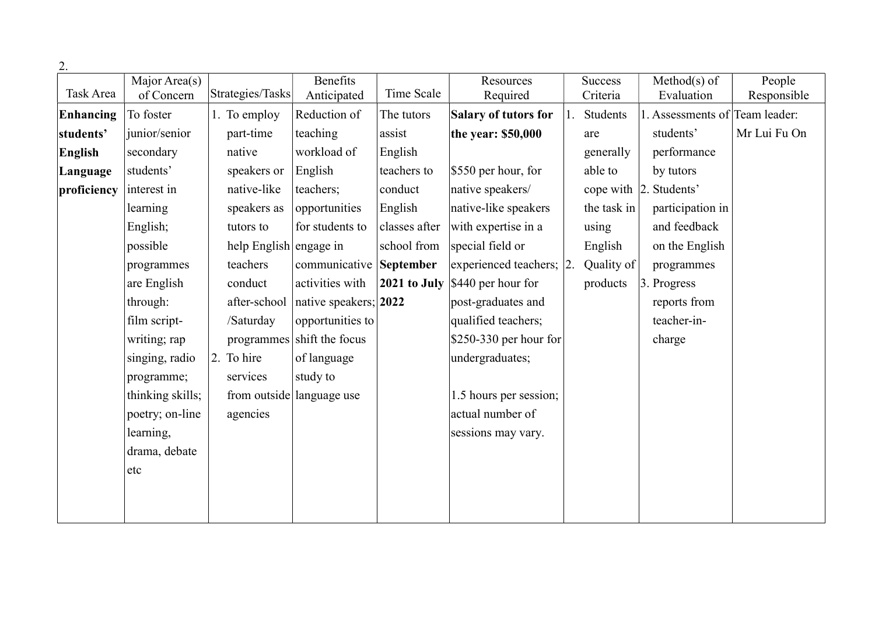| ٠       |
|---------|
|         |
| I<br>۰. |

| 2.             |                             |                        |                            |                |                          |                |                                |              |
|----------------|-----------------------------|------------------------|----------------------------|----------------|--------------------------|----------------|--------------------------------|--------------|
| Task Area      | Major Area(s)<br>of Concern | Strategies/Tasks       | <b>Benefits</b>            | Time Scale     | Resources                | <b>Success</b> | $Method(s)$ of                 | People       |
|                |                             |                        | Anticipated                |                | Required                 | Criteria       | Evaluation                     | Responsible  |
| Enhancing      | To foster                   | 1. To employ           | Reduction of               | The tutors     | Salary of tutors for     | Students       | 1. Assessments of Team leader: |              |
| students'      | junior/senior               | part-time              | teaching                   | assist         | the year: \$50,000       | are            | students'                      | Mr Lui Fu On |
| <b>English</b> | secondary                   | native                 | workload of                | English        |                          | generally      | performance                    |              |
| Language       | students'                   | speakers or            | English                    | teachers to    | $$550$ per hour, for     | able to        | by tutors                      |              |
| proficiency    | interest in                 | native-like            | teachers;                  | conduct        | native speakers/         |                | cope with 2. Students'         |              |
|                | learning                    | speakers as            | opportunities              | English        | native-like speakers     | the task in    | participation in               |              |
|                | English;                    | tutors to              | for students to            | classes after  | with expertise in a      | using          | and feedback                   |              |
|                | possible                    | help English engage in |                            | school from    | special field or         | English        | on the English                 |              |
|                | programmes                  | teachers               | communicative              | September      | experienced teachers; 2. | Quality of     | programmes                     |              |
|                | are English                 | conduct                | activities with            | $2021$ to July | \$440 per hour for       | products       | 3. Progress                    |              |
|                | through:                    | after-school           | native speakers; 2022      |                | post-graduates and       |                | reports from                   |              |
|                | film script-                | /Saturday              | opportunities to           |                | qualified teachers;      |                | teacher-in-                    |              |
|                | writing; rap                |                        | programmes shift the focus |                | \$250-330 per hour for   |                | charge                         |              |
|                | singing, radio              | 2. To hire             | of language                |                | undergraduates;          |                |                                |              |
|                | programme;                  | services               | study to                   |                |                          |                |                                |              |
|                | thinking skills;            |                        | from outside language use  |                | 1.5 hours per session;   |                |                                |              |
|                | poetry; on-line             | agencies               |                            |                | actual number of         |                |                                |              |
|                | learning,                   |                        |                            |                | sessions may vary.       |                |                                |              |
|                | drama, debate               |                        |                            |                |                          |                |                                |              |
|                | etc                         |                        |                            |                |                          |                |                                |              |
|                |                             |                        |                            |                |                          |                |                                |              |
|                |                             |                        |                            |                |                          |                |                                |              |
|                |                             |                        |                            |                |                          |                |                                |              |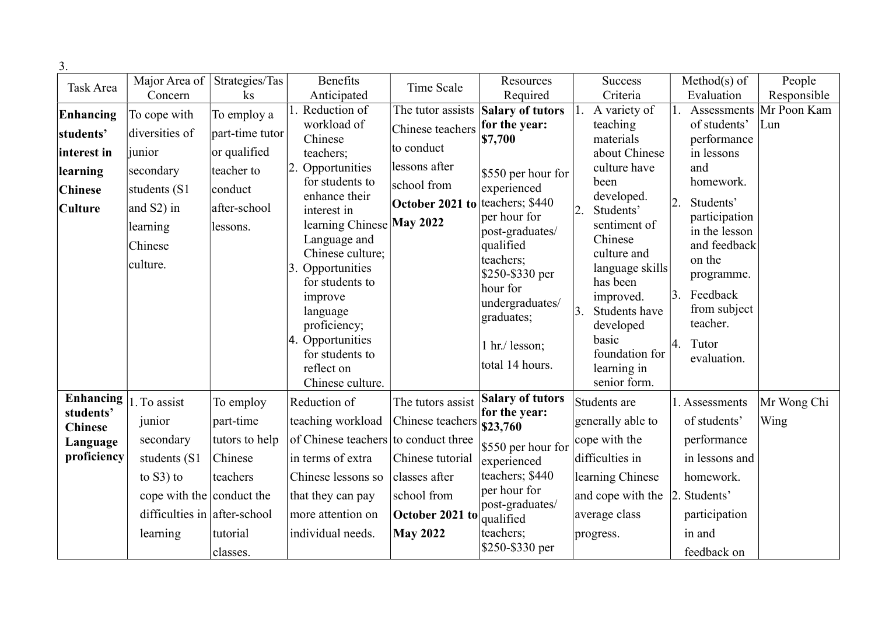| 3.               |                              |                              |                                      |                   |                                   |    |                             |    |                                |                    |
|------------------|------------------------------|------------------------------|--------------------------------------|-------------------|-----------------------------------|----|-----------------------------|----|--------------------------------|--------------------|
| Task Area        |                              | Major Area of Strategies/Tas | <b>Benefits</b>                      | Time Scale        | Resources                         |    | <b>Success</b>              |    | $Method(s)$ of                 | People             |
|                  | Concern                      | $\rm ks$                     | Anticipated                          |                   | Required                          |    | Criteria                    |    | Evaluation                     | Responsible        |
| Enhancing        | To cope with                 | To employ a                  | 1. Reduction of<br>workload of       | The tutor assists | Salary of tutors<br>for the year: | 1. | A variety of<br>teaching    |    | Assessments<br>of students'    | Mr Poon Kam<br>Lun |
| students'        | diversities of               | part-time tutor              | Chinese                              | Chinese teachers  | \$7,700                           |    | materials                   |    | performance                    |                    |
| interest in      | junior                       | or qualified                 | teachers;                            | to conduct        |                                   |    | about Chinese               |    | in lessons                     |                    |
| learning         | secondary                    | teacher to                   | Opportunities                        | lessons after     | $$550$ per hour for               |    | culture have                |    | and                            |                    |
| <b>Chinese</b>   | students (S1                 | conduct                      | for students to<br>enhance their     | school from       | experienced                       |    | been<br>developed.          |    | homework.                      |                    |
| <b>Culture</b>   | and S2) in                   | after-school                 | interest in                          | October 2021 to   | teachers; \$440<br>per hour for   | 2. | Students'                   | 2. | Students'                      |                    |
|                  | learning                     | lessons.                     | learning Chinese May 2022            |                   | post-graduates/                   |    | sentiment of                |    | participation<br>in the lesson |                    |
|                  | Chinese                      |                              | Language and<br>Chinese culture;     |                   | qualified                         |    | Chinese<br>culture and      |    | and feedback                   |                    |
|                  | culture.                     |                              | 3. Opportunities                     |                   | teachers;                         |    | language skills             |    | on the                         |                    |
|                  |                              |                              | for students to                      |                   | $$250-\$330$ per<br>hour for      |    | has been                    |    | programme.                     |                    |
|                  |                              |                              | improve                              |                   | undergraduates/                   |    | improved.                   | 3. | Feedback                       |                    |
|                  |                              |                              | language<br>proficiency;             |                   | graduates;                        | 3. | Students have<br>developed  |    | from subject<br>teacher.       |                    |
|                  |                              |                              | 4. Opportunities                     |                   | 1 hr./ lesson;                    |    | basic                       | 4. | Tutor                          |                    |
|                  |                              |                              | for students to                      |                   |                                   |    | foundation for              |    | evaluation.                    |                    |
|                  |                              |                              | reflect on<br>Chinese culture.       |                   | total 14 hours.                   |    | learning in<br>senior form. |    |                                |                    |
| <b>Enhancing</b> |                              |                              |                                      |                   | Salary of tutors                  |    |                             |    |                                |                    |
| students'        | 1. To assist                 | To employ                    | Reduction of                         | The tutors assist | for the year:                     |    | Students are                |    | 1. Assessments                 | Mr Wong Chi        |
| <b>Chinese</b>   | junior                       | part-time                    | teaching workload                    | Chinese teachers  | \$23,760                          |    | generally able to           |    | of students'                   | Wing               |
| Language         | secondary                    | tutors to help               | of Chinese teachers to conduct three |                   | \$550 per hour for                |    | cope with the               |    | performance                    |                    |
| proficiency      | students (S1                 | Chinese                      | in terms of extra                    | Chinese tutorial  | experienced                       |    | difficulties in             |    | in lessons and                 |                    |
|                  | to $S3$ ) to                 | teachers                     | Chinese lessons so                   | classes after     | teachers; \$440                   |    | learning Chinese            |    | homework.                      |                    |
|                  | cope with the conduct the    |                              | that they can pay                    | school from       | per hour for<br>post-graduates/   |    | and cope with the           |    | 2. Students'                   |                    |
|                  | difficulties in after-school |                              | more attention on                    | October 2021 to   | qualified                         |    | average class               |    | participation                  |                    |
|                  | learning                     | tutorial                     | individual needs.                    | <b>May 2022</b>   | teachers;                         |    | progress.                   |    | in and                         |                    |
|                  |                              | classes.                     |                                      |                   | \$250-\$330 per                   |    |                             |    | feedback on                    |                    |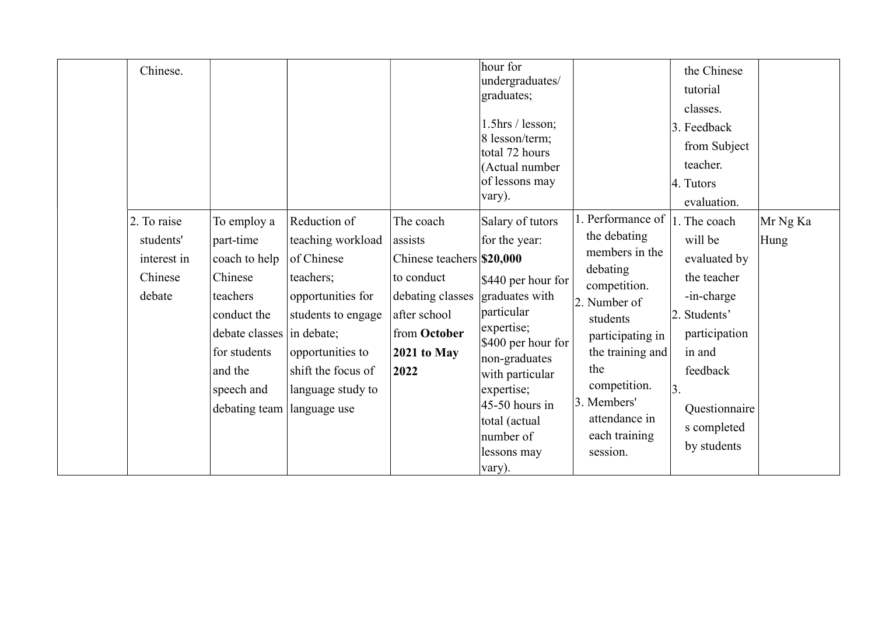| Chinese.                                                     |                                                                                                                                                                                       |                                                                                                                                                                        |                                                                                                                                              | hour for<br>undergraduates/<br>graduates;<br>1.5hrs / lesson;<br>8 lesson/term;<br>total 72 hours<br>(Actual number<br>of lessons may<br>vary).                                                                                                           |                                                                                                                                                                                                                                         | the Chinese<br>tutorial<br>classes.<br>3. Feedback<br>from Subject<br>teacher.<br>4. Tutors<br>evaluation.                                                                       |                  |
|--------------------------------------------------------------|---------------------------------------------------------------------------------------------------------------------------------------------------------------------------------------|------------------------------------------------------------------------------------------------------------------------------------------------------------------------|----------------------------------------------------------------------------------------------------------------------------------------------|-----------------------------------------------------------------------------------------------------------------------------------------------------------------------------------------------------------------------------------------------------------|-----------------------------------------------------------------------------------------------------------------------------------------------------------------------------------------------------------------------------------------|----------------------------------------------------------------------------------------------------------------------------------------------------------------------------------|------------------|
| 2. To raise<br>students'<br>interest in<br>Chinese<br>debate | To employ a<br>part-time<br>coach to help<br>Chinese<br>teachers<br>conduct the<br>debate classes in debate;<br>for students<br>and the<br>speech and<br>debating team   language use | Reduction of<br>teaching workload<br>of Chinese<br>teachers;<br>opportunities for<br>students to engage<br>opportunities to<br>shift the focus of<br>language study to | The coach<br>assists<br>Chinese teachers \$20,000<br>to conduct<br>debating classes<br>after school<br>from October<br>$2021$ to May<br>2022 | Salary of tutors<br>for the year:<br>$$440$ per hour for<br>graduates with<br>particular<br>expertise;<br>\$400 per hour for<br>non-graduates<br>with particular<br>expertise;<br>$45-50$ hours in<br>total (actual<br>number of<br>lessons may<br>vary). | 1. Performance of<br>the debating<br>members in the<br>debating<br>competition.<br>2. Number of<br>students<br>participating in<br>the training and<br>the<br>competition.<br>3. Members'<br>attendance in<br>each training<br>session. | 1. The coach<br>will be<br>evaluated by<br>the teacher<br>-in-charge<br>2. Students'<br>participation<br>in and<br>feedback<br>3.<br>Questionnaire<br>s completed<br>by students | Mr Ng Ka<br>Hung |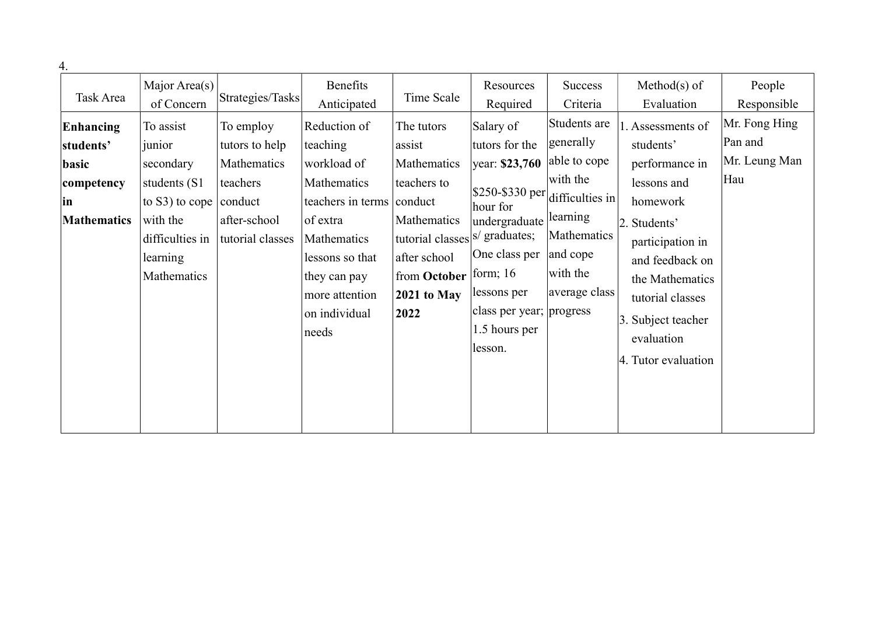| Major Area(s)<br>Benefits<br>$Method(s)$ of<br>People<br>Resources<br>Success<br>Task Area<br>Time Scale<br>Strategies/Tasks<br>of Concern<br>Anticipated<br>Required<br>Criteria<br>Evaluation<br>Students are<br>Reduction of<br>Salary of<br>. Assessments of<br>Enhancing<br>To assist<br>To employ<br>The tutors<br>Pan and<br>generally<br>students'<br>teaching<br>tutors for the<br>tutors to help<br>assist<br>students'<br>junior<br>able to cope<br>year: \$23,760<br>performance in<br>Mathematics<br>workload of<br>Mathematics<br>secondary<br>basic<br>with the<br>Hau<br>teachers<br>Mathematics<br>teachers to<br>lessons and<br>students (S1)<br>competency<br>\$250-\$330 per<br>difficulties in<br>conduct<br>teachers in terms conduct<br>homework<br>to $S3$ ) to cope<br>in<br>hour for<br>learning<br>Mathematics<br>with the<br>after-school<br><b>Mathematics</b><br>of extra<br>undergraduate<br>2. Students'<br>Mathematics<br>tutorial classes s/ graduates;<br>tutorial classes<br>Mathematics<br>difficulties in<br>participation in<br>One class per<br>and cope<br>after school<br>learning<br>lessons so that<br>and feedback on<br>with the<br>from October form; 16<br>Mathematics<br>they can pay<br>the Mathematics<br>average class<br>lessons per<br>2021 to May<br>more attention<br>tutorial classes<br>class per year; progress<br>on individual<br>2022<br>3. Subject teacher | 4. |  |       |               |            |                                |
|---------------------------------------------------------------------------------------------------------------------------------------------------------------------------------------------------------------------------------------------------------------------------------------------------------------------------------------------------------------------------------------------------------------------------------------------------------------------------------------------------------------------------------------------------------------------------------------------------------------------------------------------------------------------------------------------------------------------------------------------------------------------------------------------------------------------------------------------------------------------------------------------------------------------------------------------------------------------------------------------------------------------------------------------------------------------------------------------------------------------------------------------------------------------------------------------------------------------------------------------------------------------------------------------------------------------------------------------------------------------------------------------------------------------------|----|--|-------|---------------|------------|--------------------------------|
|                                                                                                                                                                                                                                                                                                                                                                                                                                                                                                                                                                                                                                                                                                                                                                                                                                                                                                                                                                                                                                                                                                                                                                                                                                                                                                                                                                                                                           |    |  |       |               |            | Responsible                    |
| lesson.<br>4. Tutor evaluation                                                                                                                                                                                                                                                                                                                                                                                                                                                                                                                                                                                                                                                                                                                                                                                                                                                                                                                                                                                                                                                                                                                                                                                                                                                                                                                                                                                            |    |  | needs | 1.5 hours per | evaluation | Mr. Fong Hing<br>Mr. Leung Man |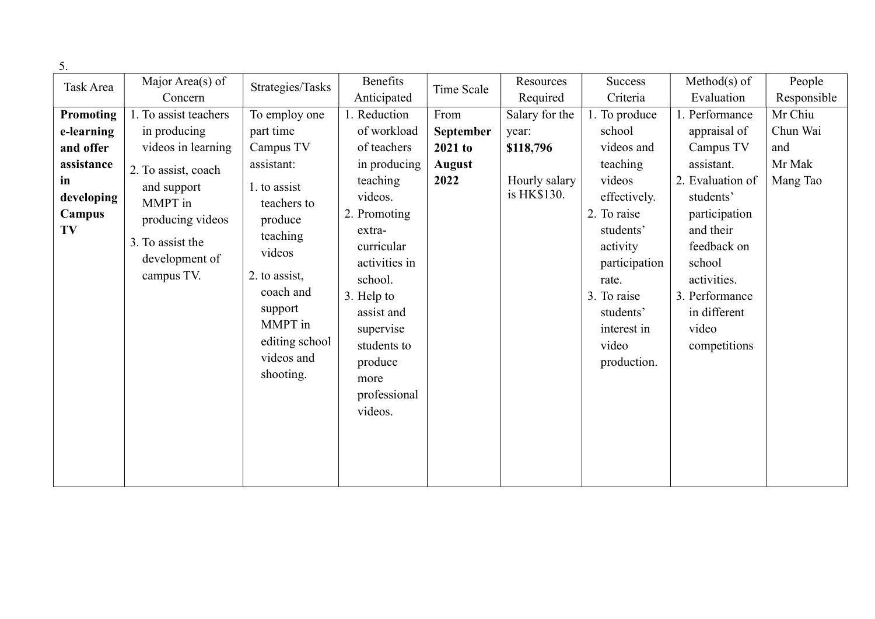| 5.                               |                       |                  |               |               |                |               |                  |             |
|----------------------------------|-----------------------|------------------|---------------|---------------|----------------|---------------|------------------|-------------|
| Task Area                        | Major Area(s) of      | Strategies/Tasks | Benefits      | Time Scale    | Resources      | Success       | $Method(s)$ of   | People      |
|                                  | Concern               |                  | Anticipated   |               | Required       | Criteria      | Evaluation       | Responsible |
| <b>Promoting</b>                 | 1. To assist teachers | To employ one    | 1. Reduction  | From          | Salary for the | 1. To produce | 1. Performance   | Mr Chiu     |
| e-learning                       | in producing          | part time        | of workload   | September     | year:          | school        | appraisal of     | Chun Wai    |
| and offer                        | videos in learning    | Campus TV        | of teachers   | $2021$ to     | \$118,796      | videos and    | Campus TV        | and         |
| assistance                       | 2. To assist, coach   | assistant:       | in producing  | <b>August</b> |                | teaching      | assistant.       | Mr Mak      |
| in                               | and support           | 1. to assist     | teaching      | 2022          | Hourly salary  | videos        | 2. Evaluation of | Mang Tao    |
| developing                       | MMPT in               | teachers to      | videos.       |               | is HK\$130.    | effectively.  | students'        |             |
| Campus<br>producing videos<br>TV |                       | produce          | 2. Promoting  |               |                | 2. To raise   | participation    |             |
|                                  | teaching              | extra-           |               |               | students'      | and their     |                  |             |
|                                  | 3. To assist the      | videos           | curricular    |               |                | activity      | feedback on      |             |
|                                  | development of        |                  | activities in |               |                | participation | school           |             |
|                                  | campus TV.            | 2. to assist,    | school.       |               |                | rate.         | activities.      |             |
|                                  |                       | coach and        | 3. Help to    |               |                | 3. To raise   | 3. Performance   |             |
|                                  |                       | support          | assist and    |               |                | students'     | in different     |             |
|                                  |                       | MMPT in          | supervise     |               |                | interest in   | video            |             |
|                                  |                       | editing school   | students to   |               |                | video         | competitions     |             |
|                                  |                       | videos and       | produce       |               |                | production.   |                  |             |
|                                  |                       | shooting.        | more          |               |                |               |                  |             |
|                                  |                       |                  | professional  |               |                |               |                  |             |
|                                  |                       |                  | videos.       |               |                |               |                  |             |
|                                  |                       |                  |               |               |                |               |                  |             |
|                                  |                       |                  |               |               |                |               |                  |             |
|                                  |                       |                  |               |               |                |               |                  |             |
|                                  |                       |                  |               |               |                |               |                  |             |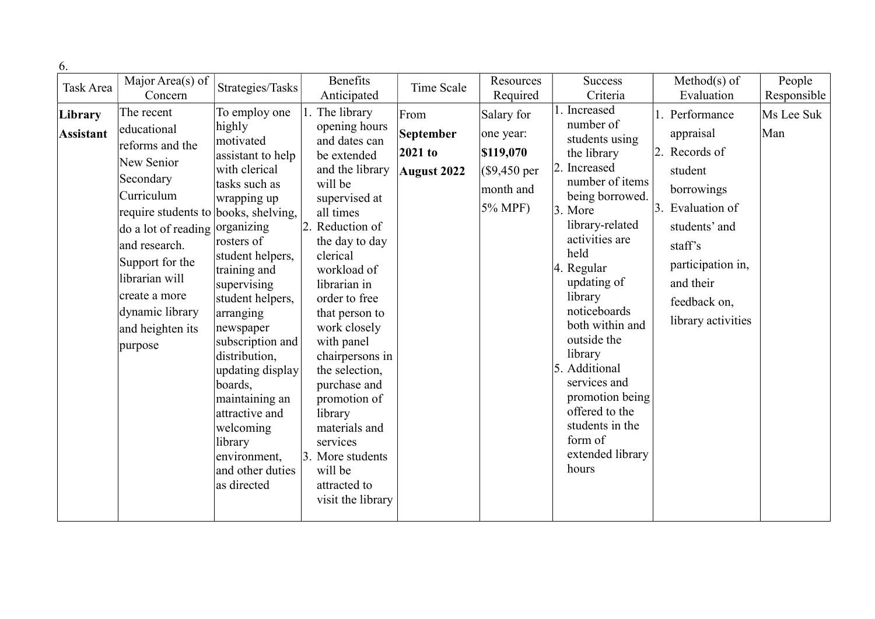| 6.                          |                                                                                                                                                                                                                                                                                          |                                                                                                                                                                                                                                                                                                                                                                                                              |                                                                                                                                                                                                                                                                                                                                                                                                                                                               |                                                    |                                                                                       |                                                                                                                                                                                                                                                                                                                                                                                                                |                                                                                                                                                                                               |                   |
|-----------------------------|------------------------------------------------------------------------------------------------------------------------------------------------------------------------------------------------------------------------------------------------------------------------------------------|--------------------------------------------------------------------------------------------------------------------------------------------------------------------------------------------------------------------------------------------------------------------------------------------------------------------------------------------------------------------------------------------------------------|---------------------------------------------------------------------------------------------------------------------------------------------------------------------------------------------------------------------------------------------------------------------------------------------------------------------------------------------------------------------------------------------------------------------------------------------------------------|----------------------------------------------------|---------------------------------------------------------------------------------------|----------------------------------------------------------------------------------------------------------------------------------------------------------------------------------------------------------------------------------------------------------------------------------------------------------------------------------------------------------------------------------------------------------------|-----------------------------------------------------------------------------------------------------------------------------------------------------------------------------------------------|-------------------|
| Task Area                   | Major Area(s) of                                                                                                                                                                                                                                                                         | Strategies/Tasks                                                                                                                                                                                                                                                                                                                                                                                             | Benefits                                                                                                                                                                                                                                                                                                                                                                                                                                                      | Time Scale                                         | Resources                                                                             | <b>Success</b>                                                                                                                                                                                                                                                                                                                                                                                                 | $Method(s)$ of                                                                                                                                                                                | People            |
|                             | Concern                                                                                                                                                                                                                                                                                  |                                                                                                                                                                                                                                                                                                                                                                                                              | Anticipated                                                                                                                                                                                                                                                                                                                                                                                                                                                   |                                                    | Required                                                                              | Criteria                                                                                                                                                                                                                                                                                                                                                                                                       | Evaluation                                                                                                                                                                                    | Responsible       |
| Library<br><b>Assistant</b> | The recent<br>educational<br>reforms and the<br>New Senior<br>Secondary<br>Curriculum<br>require students to books, shelving,<br>do a lot of reading organizing<br>and research.<br>Support for the<br>librarian will<br>create a more<br>dynamic library<br>and heighten its<br>purpose | To employ one<br>highly<br>motivated<br>assistant to help<br>with clerical<br>tasks such as<br>wrapping up<br>rosters of<br>student helpers,<br>training and<br>supervising<br>student helpers,<br>arranging<br>newspaper<br>subscription and<br>distribution,<br>updating display<br>boards,<br>maintaining an<br>attractive and<br>welcoming<br>library<br>environment,<br>and other duties<br>as directed | 1. The library<br>opening hours<br>and dates can<br>be extended<br>and the library<br>will be<br>supervised at<br>all times<br>2. Reduction of<br>the day to day<br>clerical<br>workload of<br>librarian in<br>order to free<br>that person to<br>work closely<br>with panel<br>chairpersons in<br>the selection,<br>purchase and<br>promotion of<br>library<br>materials and<br>services<br>3. More students<br>will be<br>attracted to<br>visit the library | From<br>September<br>2021 to<br><b>August 2022</b> | Salary for<br>one year:<br>\$119,070<br>$($9,450 \text{ per}$<br>month and<br>5% MPF) | 1. Increased<br>number of<br>students using<br>the library<br>2. Increased<br>number of items<br>being borrowed.<br>3. More<br>library-related<br>activities are<br>held<br>4. Regular<br>updating of<br>library<br>noticeboards<br>both within and<br>outside the<br>library<br>5. Additional<br>services and<br>promotion being<br>offered to the<br>students in the<br>form of<br>extended library<br>hours | 1. Performance<br>appraisal<br>2. Records of<br>student<br>borrowings<br>3. Evaluation of<br>students' and<br>staff's<br>participation in,<br>and their<br>feedback on,<br>library activities | Ms Lee Suk<br>Man |